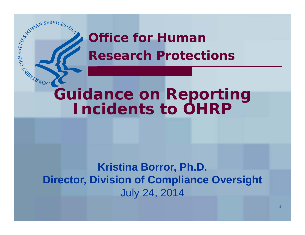

# **Office for Human Research Protections**

# **Incidents to OHRP**

## **Kristina Borror, Ph.D. Director, Division of Compliance Oversight** July 24, 2014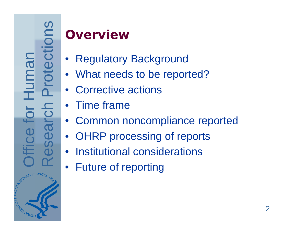# **Overview**

- Regulatory Background
- What needs to be reported?
- Corrective actions
- •Time frame
- Common noncompliance reported
- OHRP processing of reports
- Institutional considerations
- Future of reporting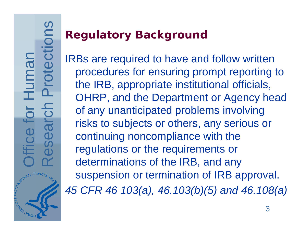# **Regulatory Background**

IRBs are required to have and follow written procedures for ensuring prompt reporting to the IRB, appropriate institutional officials, OHRP, and the Department or Agency head of any unanticipated problems involving risks to subjects or others, any serious or continuing noncompliance with the regulations or the requirements or determinations of the IRB, and any suspension or termination of IRB approval. *45 CFR 46 103(a), 46.103(b)(5) and 46.108(a)*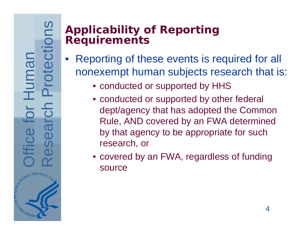## **Applicability of Reporting Requirements**

- $\bullet$  Reporting of these events is required for all nonexempt human subjects research that is:
	- conducted or supported by HHS
	- conducted or supported by other federal dept/agency that has adopted the Common Rule, AND covered by an FWA determined by that agency to be appropriate for such research, or
	- covered by an FWA, regardless of funding source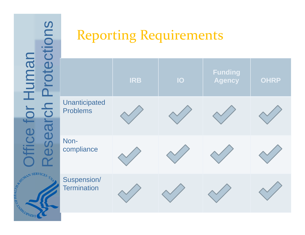# Office for Human **fice for Human HARANTARIAN**

# Reporting Requirements

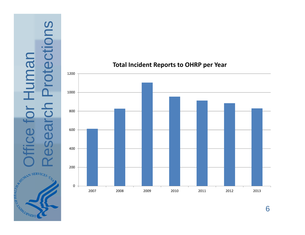Suc Research Protections Office for Human Iuman bte C Besa ď  $\tilde{C}$ ATUMAN SERVICES. **PERIMERIAL REPAIR** 



## **Total Incident Reports to OHRP per Year**

6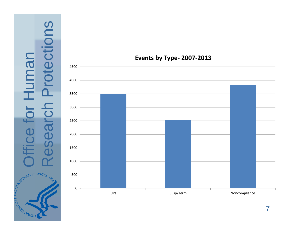



## **Events by Type‐ 2007‐2013**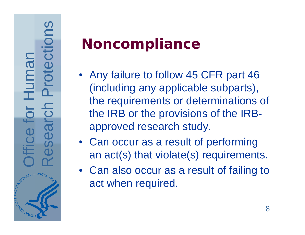- **Noncompliance**<br>
 Any failure to follow 45 CFR part 46<br>
(including any applicable subparts),<br>
the requirements or determinations of<br>
the IRB or the provisions of the IRB-<br>
approved research study.<br>
 Can occur as a result
	-
	- Can also occur as a result of failing to act when required.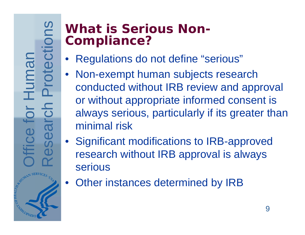## **What is Serious Non-Compliance?**

- Regulations do not define "serious"
- Non-exempt human subjects research conducted without IRB review and approval or without appropriate informed consent is always serious, particularly if its greater than minimal risk
- Significant modifications to IRB-approved research without IRB approval is always serious
- Other instances determined by IRB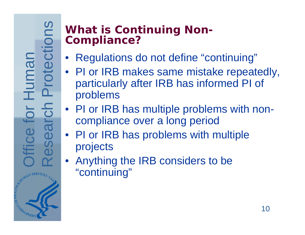## **What is Continuing Non-Compliance?**

- Regulations do not define "continuing"
- PI or IRB makes same mistake repeatedly, particularly after IRB has informed PI of problems
- PI or IRB has multiple problems with noncompliance over a long period
- PI or IRB has problems with multiple projects
- Anything the IRB considers to be "continuing"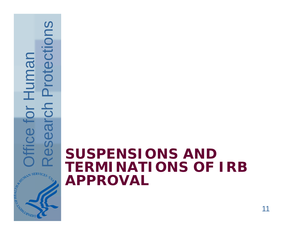

# **Research Protections AND SUSPENSIONS AND TERMINATIONS OF IRB TERMINATIONS OF IRB APPROVAL**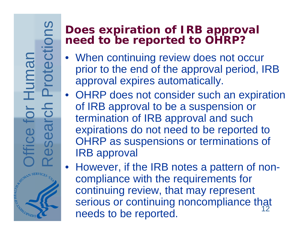## **Does expiration of IRB approval need to be reported to OHRP?**

- When continuing review does not occur prior to the end of the approval period, IRB approval expires automatically.
- OHRP does not consider such an expiration of IRB approval to be a suspension or termination of IRB approval and such expirations do not need to be reported to OHRP as suspensions or terminations of IRB approval
- 12• However, if the IRB notes a pattern of noncompliance with the requirements for continuing review, that may represent serious or continuing noncompliance that needs to be reported.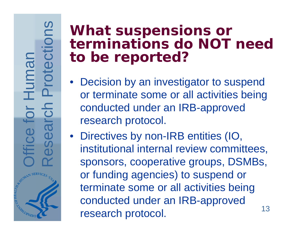# Office for Human ce fo

- What suspensions or<br>
terminations do NOT need<br>
to be reported?<br>
 Decision by an investigator to suspend<br>
or terminate some or all activities being<br>
conducted under an IRB-approved<br>
research protocol.<br>
 Directives by non
	- or funding agencies) to suspend or terminate some or all activities being conducted under an IRB-approved research protocol. 13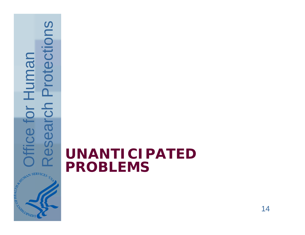

# **Research Problems**<br> **WANTICIPATED**<br>
PROBLEMS **PROBLEMS**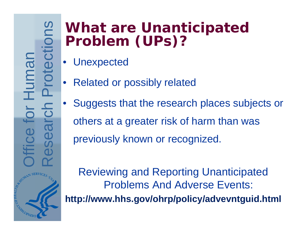- 
- 
- What are Unanticipated<br>
Problem (UPs)?<br>
Unexpected<br>
Blacked or possibly related<br>
Blacked or possibly related<br>
Buggests that the research places subjects or<br>
others at a greater risk of harm than was<br>
previously known or re

Reviewing and Reporting Unanticipated Problems And Adverse Events: **http://www.hhs.gov/ohrp/policy/advevntguid.html**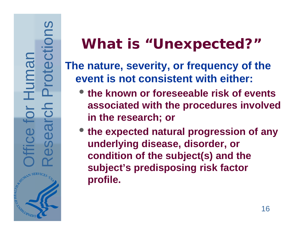- **the known or foreseeable risk of events associated with the procedures involved in the research; or**
- **Research Protections 1999**<br>
The nature, severity, or frequency of the event is not consistent with either:<br>
 the known or foreseeable risk of events<br>
associated with the procedures involve<br>
in the research; or<br>
 the exp • **the expected natural progression of any underlying disease, disorder, or condition of the subject(s) and the subject's predisposing risk factor profile.**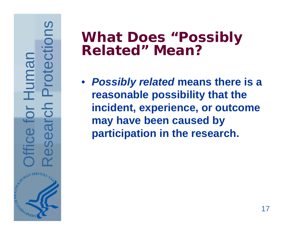# Office for Human or Human Hice fo

Research Protections **What Does "Possibly Related" Mean?** • *Possibly related* **means there is a reasonable possibility that the incident, experience, or outcome may have been caused by participation in the research.**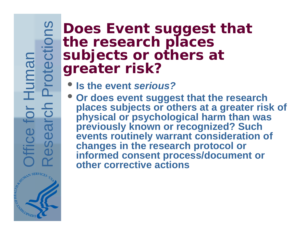Office for Human **Hice for H** 

- **Is the event** *serious?*
- **Provided Subjects or others at greater risk?**<br> **Subjects or others at greater risk?**<br>
 Is the event serious?<br>
 Or does event suggest that the researce places subjects or others at a greater physical or psychological har • **Or does event suggest that the research places subjects or others at a greater risk of physical or psychological harm than was previously known or recognized? Such events routinely warrant consideration of changes in the research protocol or informed consent process/document or other corrective actions**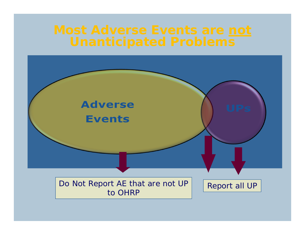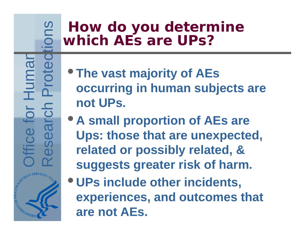- **The vast majority of AEs occurring in human subjects are not UPs.**
- **Research Proton Proton Proton Proton Proton Proton Proton Proton Proton Proton Proton Proton Proton Proton Proton Proton Proton Proton Proton Proton Proton Proton Proton Proton Proton Proton Proton Proton Proton Proton Pr** • **A small proportion of AEs are Ups: those that are unexpected, related or possibly related, & suggests greater risk of harm.**
	- **UPs include other incidents, experiences, and outcomes that are not AEs.**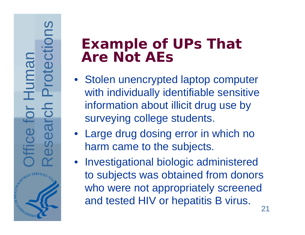- Example of UPs That<br>
Are Not AEs<br>
 Stolen unencrypted laptop computer<br>
with individually identifiable sensitive<br>
information about illicit drug use by<br>
surveying college students.<br>
 Large drug dosing error in which no<br>
t
	-
	- to subjects was obtained from donors who were not appropriately screened and tested HIV or hepatitis B virus.<br>21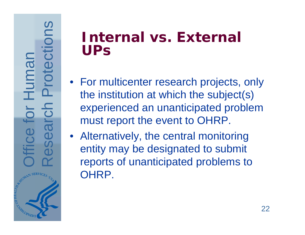- **SEXTERNAL VS. External<br>
UPS**<br>
 For multicenter research projects, only<br>
the institution at which the subject(s)<br>
experienced an unanticipated problem<br>
must report the event to OHRP.<br>
 Alternatively, the central monitori
	- OHRP.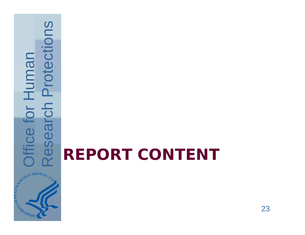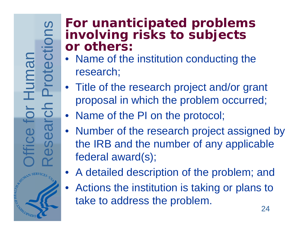## **For unanticipated problems involving risks to subjects or others:**

- Name of the institution conducting the research;
- Title of the research project and/or grant proposal in which the problem occurred;
- Name of the PI on the protocol;
- Number of the research project assigned by the IRB and the number of any applicable federal award(s);
- A detailed description of the problem; and
- $\bullet$  Actions the institution is taking or plans to take to address the problem.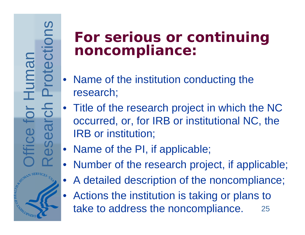- 
- For serious or continuing<br>
noncompliance:<br>
 Name of the institution conducting the<br>
research;<br>
 Title of the research project in which the NC<br>
occurred, or, for IRB or institutional NC, the<br>
IRB or institution;<br>
 Name o
	-
	- Number of the research project, if applicable;
	- •A detailed description of the noncompliance;
	- • Actions the institution is taking or plans to take to address the noncompliance. 25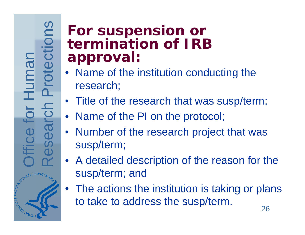Office for Human or Human **Hice** 

# **Solution Suppension or<br>
Supproval:**<br> **Proval:**<br> **Proval:**<br> **Proval:**<br> **Proval:**<br> **Proval:**<br> **Proval:**<br> **Proval:**<br> **Proval:**<br> **Proval:**<br> **Proval:**<br> **Proval:**<br> **Proval:**<br> **Proval:**<br> **Proval:**<br> **Proval:**<br> **Proval:**<br> **Proval:**

- 
- 
- 
- 
- susp/term; and
- The actions the institution is taking or plans to take to address the susp/term.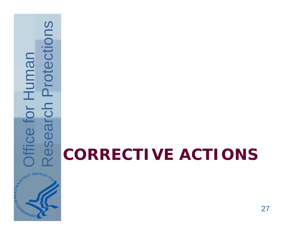

# **Research Protections**<br> **CORRECTIVE ACTIONS**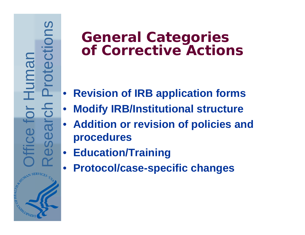# **General Categories<br>
of Corrective Actions<br>**  $\frac{C_1}{C_2}$  **• Revision of IRB application forms<br>
• Modify IRB/Institutional structure<br>
• Addition or revision of policies a<br>
<sup>0</sup> Education/Training<br>
• Education/Training**

- $\bullet$ **Revision of IRB application forms**
- •**Modify IRB/Institutional structure**
- **Addition or revision of policies and procedures**
- $\bullet$ **Education/Training**
- •**Protocol/case-specific changes**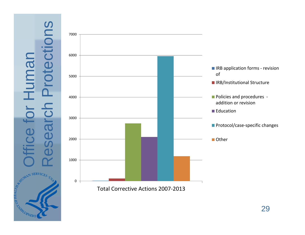# SU Research Protections Office for Human umar C Sea a<br>C SERVIC<sub>ES</sub> **AITAR WATER CANARIAN RIBO**

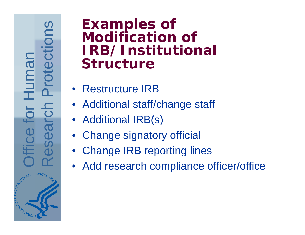# Office for Human Human **Hice**

# **Examples of Modification of IRB/Institutional Structure<br>
• Restructure IRB • Additional staff/change staff • Additional IRB(s) • Change signatory official • Change IRB reporting lines • Add research compliance official •**

- 
- 
- 
- 
- 
- Add research compliance officer/office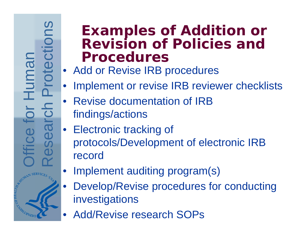Office for Human uman

# Examples of Addition or<br>
Revision of Policies and<br>
Procedures<br>
Add or Revise IRB procedures<br>
• Implement or revise IRB reviewer checklists<br>
• Revise documentation of IRB<br>
• Flectronic tracking of<br>
• Electronic tracking of<br>

- 
- 
- 
- 
- •Implement auditing program(s)
- • Develop/Revise procedures for conducting investigations
- Add/Revise research SOPs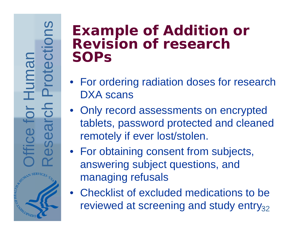# Office for Human Human C

- 
- Example of Addition or<br>
Revision of research<br>
SOPs<br>
 For ordering radiation doses for research<br>
DXA scans<br>
 Only record assessments on encrypted<br>
tablets, password protected and cleaned<br>
remotely if ever lost/stolen.<br>
	- managing refusals
	- Checklist of excluded medications to be reviewed at screening and study entry $_{32}$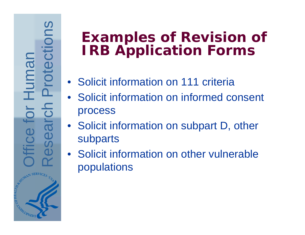# **Examples of Revision of<br>
IRB Application Forms<br>
• Solicit information on 111 criteria<br>
• Solicit information on informed consent<br>
Frocess<br>
• Solicit information on subpart D, other<br>
• Solicit information on subpart D, oth**

- 
- 
- 
-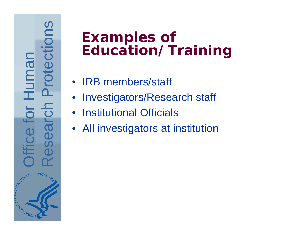# **Examples of<br>
Education/Training<br>
• IRB members/staff<br>
• Investigators/Research staff<br>
• Institutional Officials<br>
• All investigators at institution<br>
• All investigators at institution<br>
• All investigators at institution**

- 
- 
- 
-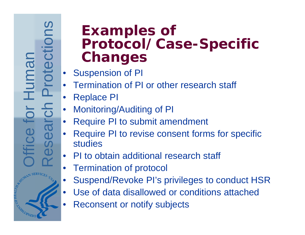Office for Human Human

# Examples of<br>
Protocol/Case-Specific<br>
Changes<br>
• Suspension of Pl<br>
• Termination of Pl or other research staff<br>
• Replace Pl<br>
• Monitoring/Auditing of Pl<br>
• Require Pl to submit amendment<br>
• Require Pl to revise consent for

- 
- 
- 
- 
- 
- 
- 
- •Termination of protocol
- •Suspend/Revoke PI's privileges to conduct HSR
- •Use of data disallowed or conditions attached
- •Reconsent or notify subjects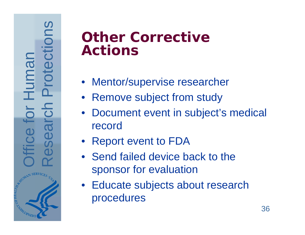# Office for Human Humar fice

- 
- 
- **Other Corrective<br>
Actions<br>
 Mentor/supervise researcher<br>
 Remove subject from study<br>
 Document event in subject's medical<br>
record<br>
 Report event to FDA<br>
 Send failed device back to the<br>
sponsor for evaluation** 
	-
	-
	- Educate subjects about research procedures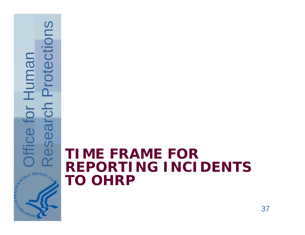

# **Research Protections Constructed**<br>Constructions **TIME FRAME FOR REPORTING INCIDENTS TO OHRP**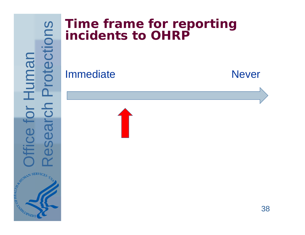

## **Time frame for reporting incidents to OHRP**

Immediate Never

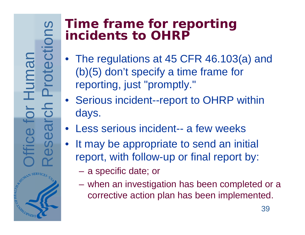# **Time frame for reporting incidents to OHRP**

- The regulations at 45 CFR 46.103(a) and (b)(5) don't specify a time frame for reporting, just "promptly."
- Serious incident--report to OHRP within days.
- Less serious incident-- a few weeks
- It may be appropriate to send an initial report, with follow-up or final report by:
	- a specific date; or
	- when an investigation has been completed or a corrective action plan has been implemented.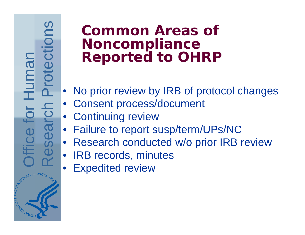Office for Human **Huma** 

# Common Areas of<br>
Noncompliance<br>
Reported to OHRP<br>
Le Consent process/document<br>
Consent process/document<br>
Continuing review<br>
Failure to report susp/term/UPs/NC<br>
Research conducted w/o prior IRB review<br>
LER records, minutes

- 
- 
- 
- 
- 
- 
- Expedited review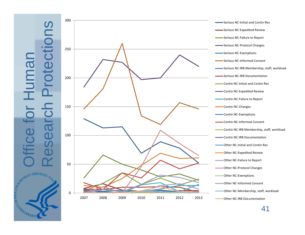



Serious NC‐Initial and Contin Rev Serious NC‐Expedited Review Serious NC‐Failure to Report Serious NC‐Protocol Changes Serious NC‐Exemptions Serious NC‐Informed Consent Serious NC‐IRB Membership, staff, workload Serious NC‐IRB Documentation Contin NC‐Initial and Contin Rev Contin NC‐Expedited Review Contin NC‐Failure to Report Contin NC‐Changes Contin NC‐Exemptions Contin NC‐Informed Consent Contin NC‐IRB Membership, staff, workload Contin NC‐IRB Documentation Other NC‐Initial and Contin Rev Other NC‐Expedited Review Other NC‐Failure to Report Other NC‐Protocol Changes Other NC‐Exemptions Other NC‐Informed Consent Other NC‐Membership, staff, workload Other NC‐IRB Documentation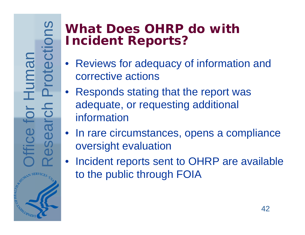Suo Research Protections Office for Human Human rch Bea 

# **What Does OHRP do with Incident Reports?**

- Reviews for adequacy of information and corrective actions
- Responds stating that the report was adequate, or requesting additional information
- In rare circumstances, opens a compliance oversight evaluation
- Incident reports sent to OHRP are available to the public through FOIA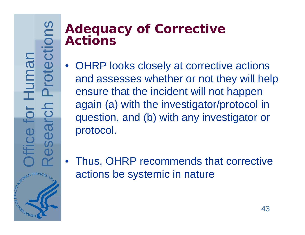## **Adequacy of Corrective Actions**

- $\bullet$  OHRP looks closely at corrective actions and assesses whether or not they will help ensure that the incident will not happen again (a) with the investigator/protocol in question, and (b) with any investigator or protocol.
- Thus, OHRP recommends that corrective actions be systemic in nature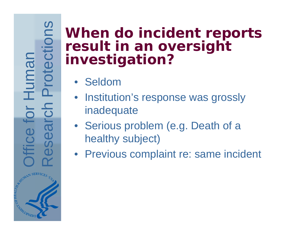# Office for Human

# When do incident reports<br>
result in an oversight<br>
investigation?<br>
• Seldom<br>
• Institution's response was grossly<br>
• Institution's response was grossly<br>
• Institution's response was grossly<br>
• Serious problem (e.g. Death of

- 
- 
- 
-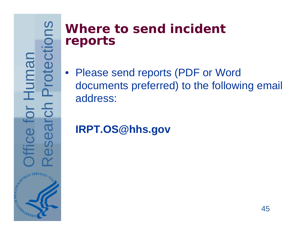## **Where to send incident reports**

• Please send reports (PDF or Word documents preferred) to the following email address:

## **IRPT.OS@hhs.gov**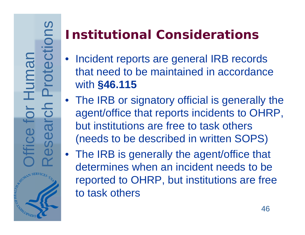SUC Research Protections Office for Human Human <u>nol</u> Sea

# **Institutional Considerations**

- $\bullet$  Incident reports are general IRB records that need to be maintained in accordance with **§46.115**
- The IRB or signatory official is generally the agent/office that reports incidents to OHRP, but institutions are free to task others (needs to be described in written SOPS)
- The IRB is generally the agent/office that determines when an incident needs to be reported to OHRP, but institutions are free to task others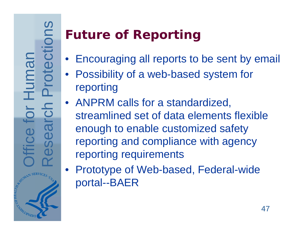# **Future of Reporting**

- Encouraging all reports to be sent by email
- Possibility of a web-based system for reporting
- ANPRM calls for a standardized, streamlined set of data elements flexible enough to enable customized safety reporting and compliance with agency reporting requirements
- Prototype of Web-based, Federal-wide portal--BAER